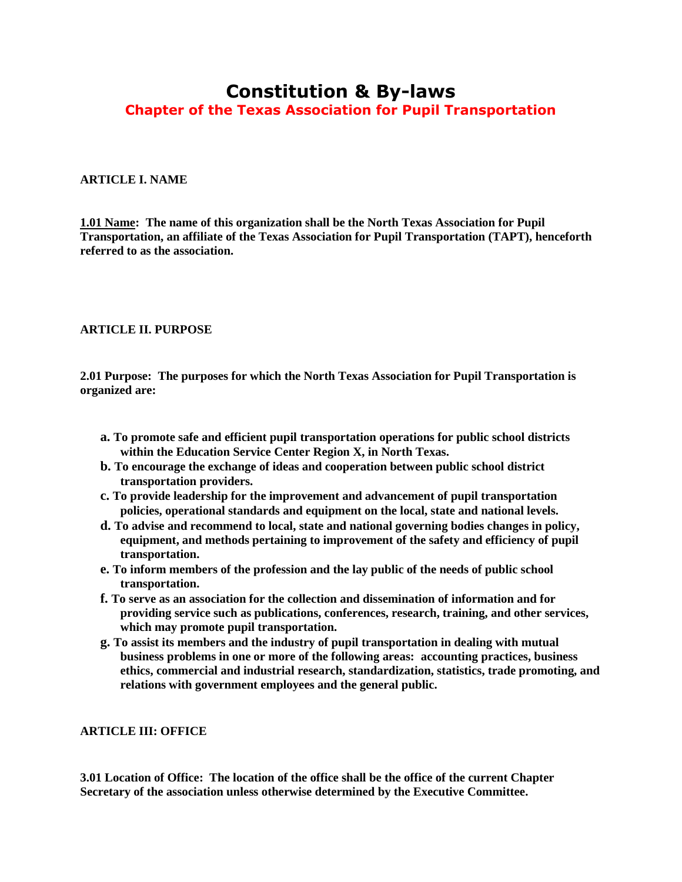# **Constitution & By-laws Chapter of the Texas Association for Pupil Transportation**

#### **ARTICLE I. NAME**

**1.01 Name: The name of this organization shall be the North Texas Association for Pupil Transportation, an affiliate of the Texas Association for Pupil Transportation (TAPT), henceforth referred to as the association.**

#### **ARTICLE II. PURPOSE**

**2.01 Purpose: The purposes for which the North Texas Association for Pupil Transportation is organized are:**

- **a. To promote safe and efficient pupil transportation operations for public school districts within the Education Service Center Region X, in North Texas.**
- **b. To encourage the exchange of ideas and cooperation between public school district transportation providers.**
- **c. To provide leadership for the improvement and advancement of pupil transportation policies, operational standards and equipment on the local, state and national levels.**
- **d. To advise and recommend to local, state and national governing bodies changes in policy, equipment, and methods pertaining to improvement of the safety and efficiency of pupil transportation.**
- **e. To inform members of the profession and the lay public of the needs of public school transportation.**
- **f. To serve as an association for the collection and dissemination of information and for providing service such as publications, conferences, research, training, and other services, which may promote pupil transportation.**
- **g. To assist its members and the industry of pupil transportation in dealing with mutual business problems in one or more of the following areas: accounting practices, business ethics, commercial and industrial research, standardization, statistics, trade promoting, and relations with government employees and the general public.**

#### **ARTICLE III: OFFICE**

**3.01 Location of Office: The location of the office shall be the office of the current Chapter Secretary of the association unless otherwise determined by the Executive Committee.**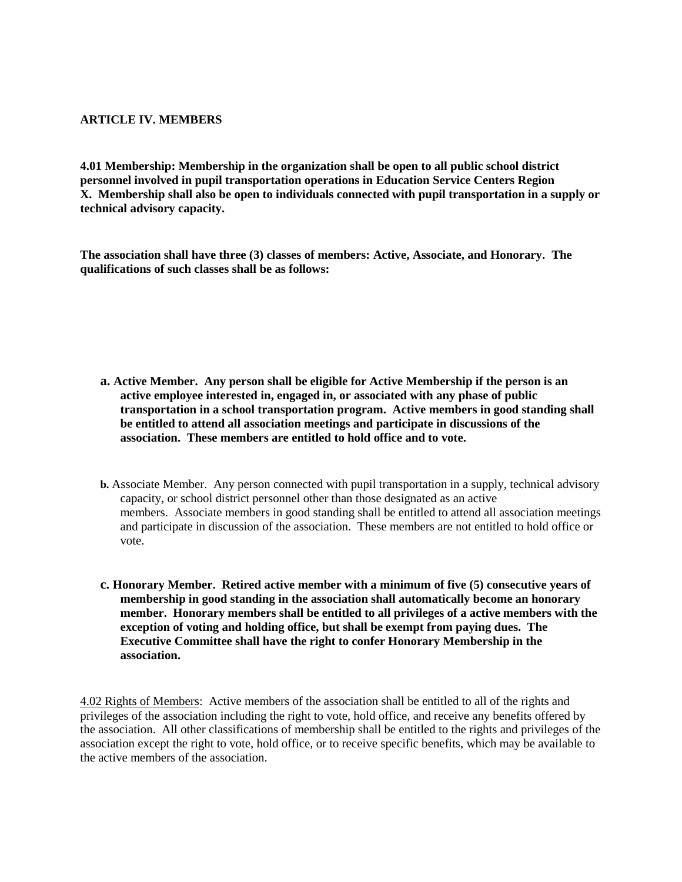# **ARTICLE IV. MEMBERS**

**4.01 Membership: Membership in the organization shall be open to all public school district personnel involved in pupil transportation operations in Education Service Centers Region X. Membership shall also be open to individuals connected with pupil transportation in a supply or technical advisory capacity.**

**The association shall have three (3) classes of members: Active, Associate, and Honorary. The qualifications of such classes shall be as follows:**

**a. Active Member. Any person shall be eligible for Active Membership if the person is an active employee interested in, engaged in, or associated with any phase of public transportation in a school transportation program. Active members in good standing shall be entitled to attend all association meetings and participate in discussions of the association. These members are entitled to hold office and to vote.**

- **b.** Associate Member. Any person connected with pupil transportation in a supply, technical advisory capacity, or school district personnel other than those designated as an active members. Associate members in good standing shall be entitled to attend all association meetings and participate in discussion of the association. These members are not entitled to hold office or vote.
- **c. Honorary Member. Retired active member with a minimum of five (5) consecutive years of membership in good standing in the association shall automatically become an honorary member. Honorary members shall be entitled to all privileges of a active members with the exception of voting and holding office, but shall be exempt from paying dues. The Executive Committee shall have the right to confer Honorary Membership in the association.**

4.02 Rights of Members: Active members of the association shall be entitled to all of the rights and privileges of the association including the right to vote, hold office, and receive any benefits offered by the association. All other classifications of membership shall be entitled to the rights and privileges of the association except the right to vote, hold office, or to receive specific benefits, which may be available to the active members of the association.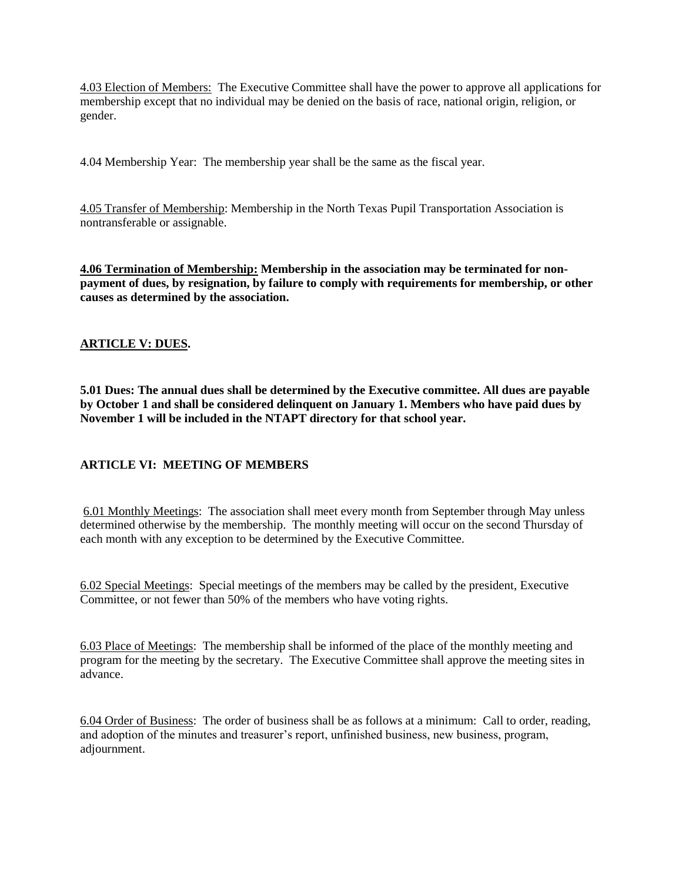4.03 Election of Members: The Executive Committee shall have the power to approve all applications for membership except that no individual may be denied on the basis of race, national origin, religion, or gender.

4.04 Membership Year: The membership year shall be the same as the fiscal year.

4.05 Transfer of Membership: Membership in the North Texas Pupil Transportation Association is nontransferable or assignable.

**4.06 Termination of Membership: Membership in the association may be terminated for nonpayment of dues, by resignation, by failure to comply with requirements for membership, or other causes as determined by the association.**

# **ARTICLE V: DUES.**

**5.01 Dues: The annual dues shall be determined by the Executive committee. All dues are payable by October 1 and shall be considered delinquent on January 1. Members who have paid dues by November 1 will be included in the NTAPT directory for that school year.**

# **ARTICLE VI: MEETING OF MEMBERS**

6.01 Monthly Meetings: The association shall meet every month from September through May unless determined otherwise by the membership. The monthly meeting will occur on the second Thursday of each month with any exception to be determined by the Executive Committee.

6.02 Special Meetings: Special meetings of the members may be called by the president, Executive Committee, or not fewer than 50% of the members who have voting rights.

6.03 Place of Meetings: The membership shall be informed of the place of the monthly meeting and program for the meeting by the secretary. The Executive Committee shall approve the meeting sites in advance.

6.04 Order of Business: The order of business shall be as follows at a minimum: Call to order, reading, and adoption of the minutes and treasurer's report, unfinished business, new business, program, adjournment.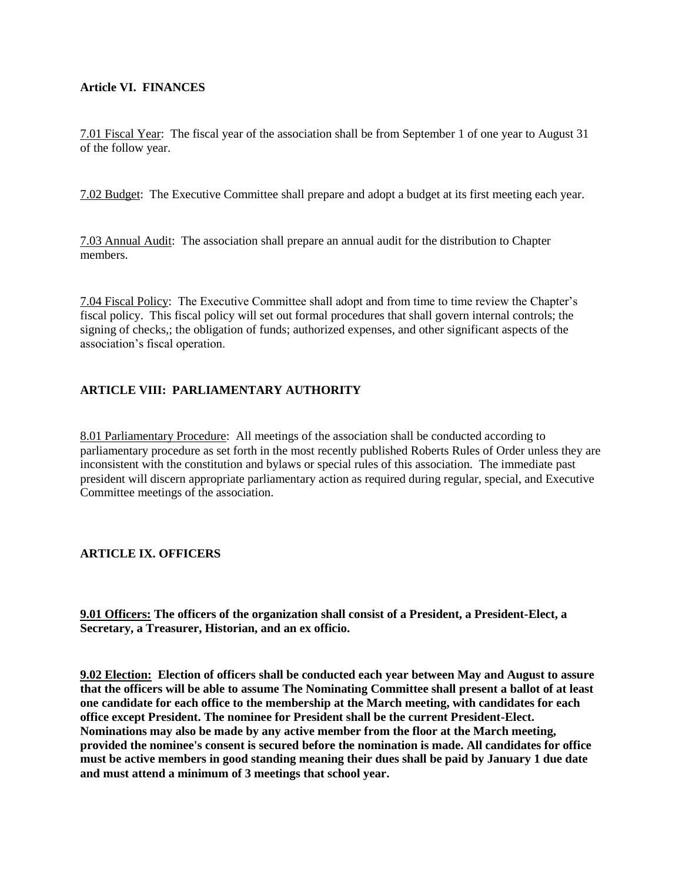### **Article VI. FINANCES**

7.01 Fiscal Year: The fiscal year of the association shall be from September 1 of one year to August 31 of the follow year.

7.02 Budget: The Executive Committee shall prepare and adopt a budget at its first meeting each year.

7.03 Annual Audit: The association shall prepare an annual audit for the distribution to Chapter members.

7.04 Fiscal Policy: The Executive Committee shall adopt and from time to time review the Chapter's fiscal policy. This fiscal policy will set out formal procedures that shall govern internal controls; the signing of checks,; the obligation of funds; authorized expenses, and other significant aspects of the association's fiscal operation.

# **ARTICLE VIII: PARLIAMENTARY AUTHORITY**

8.01 Parliamentary Procedure: All meetings of the association shall be conducted according to parliamentary procedure as set forth in the most recently published Roberts Rules of Order unless they are inconsistent with the constitution and bylaws or special rules of this association. The immediate past president will discern appropriate parliamentary action as required during regular, special, and Executive Committee meetings of the association.

# **ARTICLE IX. OFFICERS**

**9.01 Officers: The officers of the organization shall consist of a President, a President-Elect, a Secretary, a Treasurer, Historian, and an ex officio.**

**9.02 Election: Election of officers shall be conducted each year between May and August to assure that the officers will be able to assume The Nominating Committee shall present a ballot of at least one candidate for each office to the membership at the March meeting, with candidates for each office except President. The nominee for President shall be the current President-Elect. Nominations may also be made by any active member from the floor at the March meeting, provided the nominee's consent is secured before the nomination is made. All candidates for office must be active members in good standing meaning their dues shall be paid by January 1 due date and must attend a minimum of 3 meetings that school year.**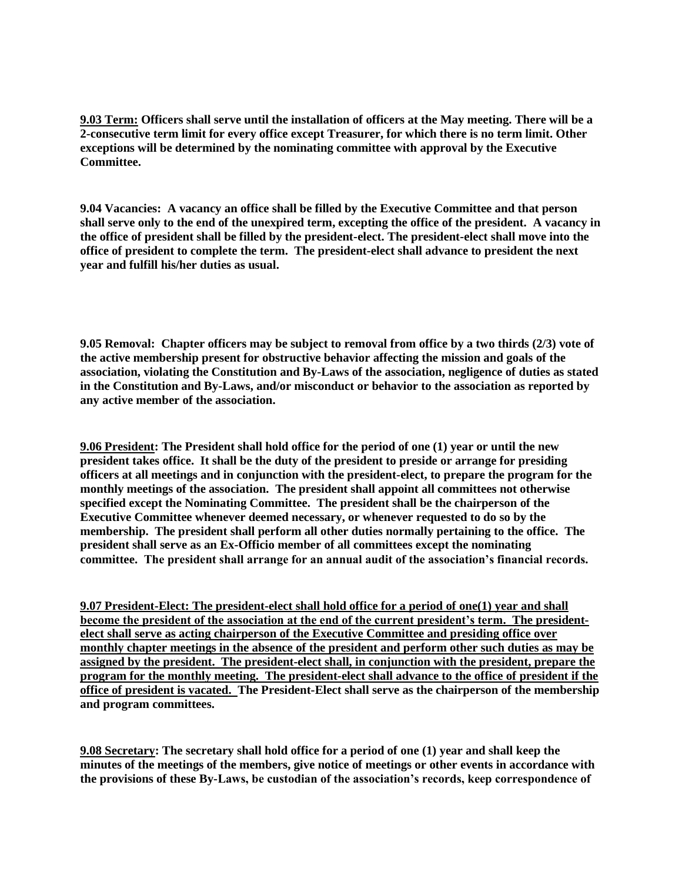**9.03 Term: Officers shall serve until the installation of officers at the May meeting. There will be a 2-consecutive term limit for every office except Treasurer, for which there is no term limit. Other exceptions will be determined by the nominating committee with approval by the Executive Committee.**

**9.04 Vacancies: A vacancy an office shall be filled by the Executive Committee and that person shall serve only to the end of the unexpired term, excepting the office of the president. A vacancy in the office of president shall be filled by the president-elect. The president-elect shall move into the office of president to complete the term. The president-elect shall advance to president the next year and fulfill his/her duties as usual.**

**9.05 Removal: Chapter officers may be subject to removal from office by a two thirds (2/3) vote of the active membership present for obstructive behavior affecting the mission and goals of the association, violating the Constitution and By-Laws of the association, negligence of duties as stated in the Constitution and By-Laws, and/or misconduct or behavior to the association as reported by any active member of the association.**

**9.06 President: The President shall hold office for the period of one (1) year or until the new president takes office. It shall be the duty of the president to preside or arrange for presiding officers at all meetings and in conjunction with the president-elect, to prepare the program for the monthly meetings of the association. The president shall appoint all committees not otherwise specified except the Nominating Committee. The president shall be the chairperson of the Executive Committee whenever deemed necessary, or whenever requested to do so by the membership. The president shall perform all other duties normally pertaining to the office. The president shall serve as an Ex-Officio member of all committees except the nominating committee. The president shall arrange for an annual audit of the association's financial records.**

**9.07 President-Elect: The president-elect shall hold office for a period of one(1) year and shall become the president of the association at the end of the current president's term. The presidentelect shall serve as acting chairperson of the Executive Committee and presiding office over monthly chapter meetings in the absence of the president and perform other such duties as may be assigned by the president. The president-elect shall, in conjunction with the president, prepare the program for the monthly meeting. The president-elect shall advance to the office of president if the office of president is vacated. The President-Elect shall serve as the chairperson of the membership and program committees.**

**9.08 Secretary: The secretary shall hold office for a period of one (1) year and shall keep the minutes of the meetings of the members, give notice of meetings or other events in accordance with the provisions of these By-Laws, be custodian of the association's records, keep correspondence of**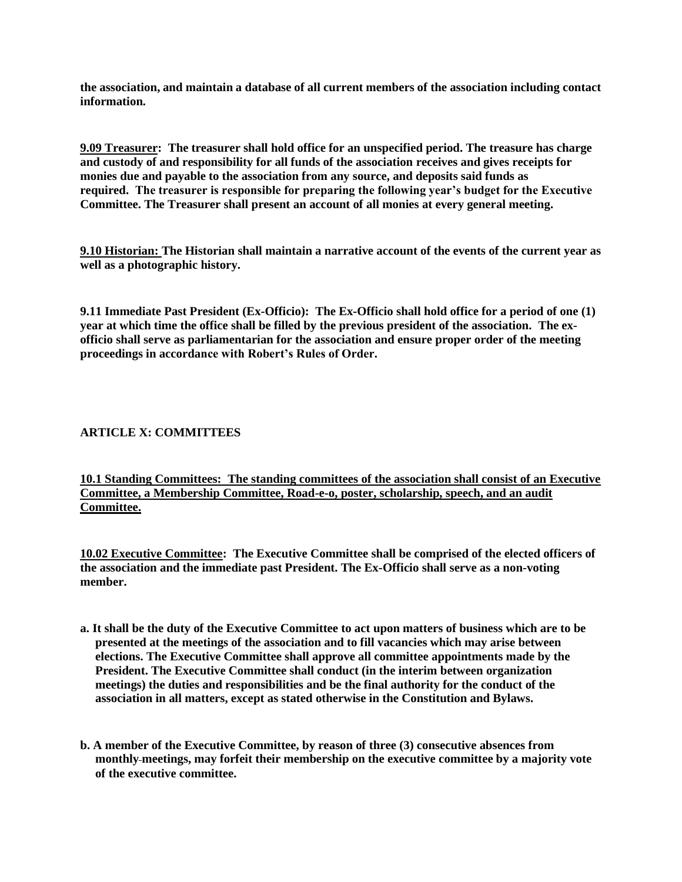**the association, and maintain a database of all current members of the association including contact information.**

**9.09 Treasurer: The treasurer shall hold office for an unspecified period. The treasure has charge and custody of and responsibility for all funds of the association receives and gives receipts for monies due and payable to the association from any source, and deposits said funds as required. The treasurer is responsible for preparing the following year's budget for the Executive Committee. The Treasurer shall present an account of all monies at every general meeting.**

**9.10 Historian: The Historian shall maintain a narrative account of the events of the current year as well as a photographic history.**

**9.11 Immediate Past President (Ex-Officio): The Ex-Officio shall hold office for a period of one (1) year at which time the office shall be filled by the previous president of the association. The exofficio shall serve as parliamentarian for the association and ensure proper order of the meeting proceedings in accordance with Robert's Rules of Order.**

#### **ARTICLE X: COMMITTEES**

**10.1 Standing Committees: The standing committees of the association shall consist of an Executive Committee, a Membership Committee, Road-e-o, poster, scholarship, speech, and an audit Committee.**

**10.02 Executive Committee: The Executive Committee shall be comprised of the elected officers of the association and the immediate past President. The Ex-Officio shall serve as a non-voting member.**

- **a. It shall be the duty of the Executive Committee to act upon matters of business which are to be presented at the meetings of the association and to fill vacancies which may arise between elections. The Executive Committee shall approve all committee appointments made by the President. The Executive Committee shall conduct (in the interim between organization meetings) the duties and responsibilities and be the final authority for the conduct of the association in all matters, except as stated otherwise in the Constitution and Bylaws.**
- **b. A member of the Executive Committee, by reason of three (3) consecutive absences from monthly meetings, may forfeit their membership on the executive committee by a majority vote of the executive committee.**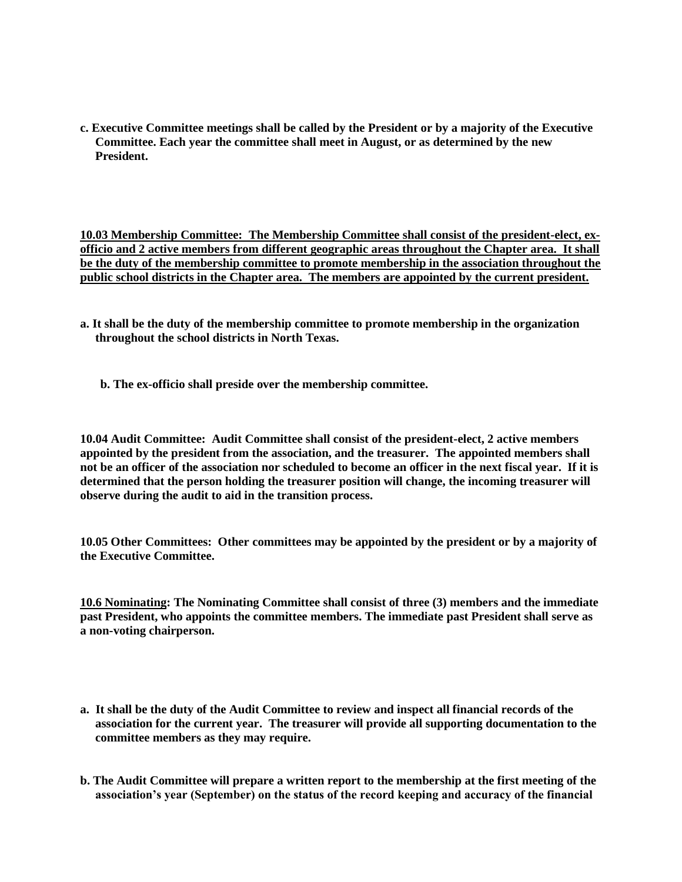**c. Executive Committee meetings shall be called by the President or by a majority of the Executive Committee. Each year the committee shall meet in August, or as determined by the new President.**

**10.03 Membership Committee: The Membership Committee shall consist of the president-elect, exofficio and 2 active members from different geographic areas throughout the Chapter area. It shall be the duty of the membership committee to promote membership in the association throughout the public school districts in the Chapter area. The members are appointed by the current president.**

- **a. It shall be the duty of the membership committee to promote membership in the organization throughout the school districts in North Texas.**
	- **b. The ex-officio shall preside over the membership committee.**

**10.04 Audit Committee: Audit Committee shall consist of the president-elect, 2 active members appointed by the president from the association, and the treasurer. The appointed members shall not be an officer of the association nor scheduled to become an officer in the next fiscal year. If it is determined that the person holding the treasurer position will change, the incoming treasurer will observe during the audit to aid in the transition process.**

**10.05 Other Committees: Other committees may be appointed by the president or by a majority of the Executive Committee.** 

**10.6 Nominating: The Nominating Committee shall consist of three (3) members and the immediate past President, who appoints the committee members. The immediate past President shall serve as a non-voting chairperson.**

- **a. It shall be the duty of the Audit Committee to review and inspect all financial records of the association for the current year. The treasurer will provide all supporting documentation to the committee members as they may require.**
- **b. The Audit Committee will prepare a written report to the membership at the first meeting of the association's year (September) on the status of the record keeping and accuracy of the financial**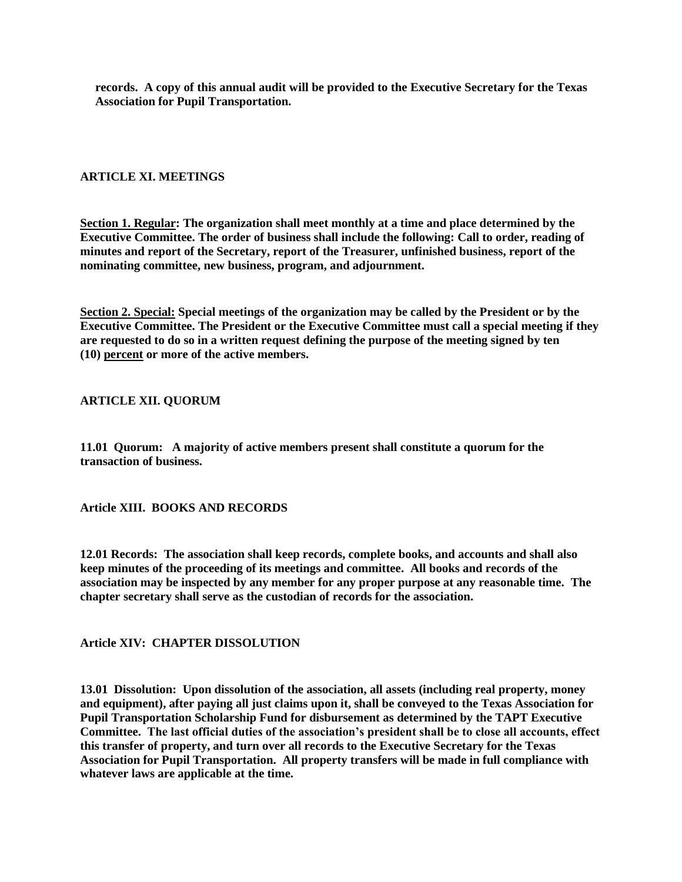**records. A copy of this annual audit will be provided to the Executive Secretary for the Texas Association for Pupil Transportation.**

# **ARTICLE XI. MEETINGS**

**Section 1. Regular: The organization shall meet monthly at a time and place determined by the Executive Committee. The order of business shall include the following: Call to order, reading of minutes and report of the Secretary, report of the Treasurer, unfinished business, report of the nominating committee, new business, program, and adjournment.**

**Section 2. Special: Special meetings of the organization may be called by the President or by the Executive Committee. The President or the Executive Committee must call a special meeting if they are requested to do so in a written request defining the purpose of the meeting signed by ten (10) percent or more of the active members.**

#### **ARTICLE XII. QUORUM**

**11.01 Quorum: A majority of active members present shall constitute a quorum for the transaction of business.**

**Article XIII. BOOKS AND RECORDS**

**12.01 Records: The association shall keep records, complete books, and accounts and shall also keep minutes of the proceeding of its meetings and committee. All books and records of the association may be inspected by any member for any proper purpose at any reasonable time. The chapter secretary shall serve as the custodian of records for the association.** 

**Article XIV: CHAPTER DISSOLUTION**

**13.01 Dissolution: Upon dissolution of the association, all assets (including real property, money and equipment), after paying all just claims upon it, shall be conveyed to the Texas Association for Pupil Transportation Scholarship Fund for disbursement as determined by the TAPT Executive Committee. The last official duties of the association's president shall be to close all accounts, effect this transfer of property, and turn over all records to the Executive Secretary for the Texas Association for Pupil Transportation. All property transfers will be made in full compliance with whatever laws are applicable at the time.**